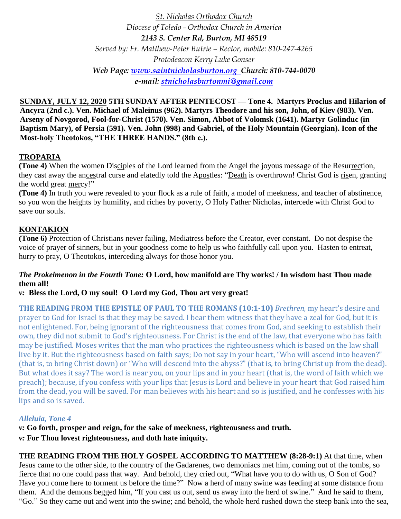*St. Nicholas Orthodox Church Diocese of Toledo - Orthodox Church in America 2143 S. Center Rd, Burton, MI 48519 Served by: Fr. Matthew-Peter Butrie – Rector, mobile: 810-247-4265 Protodeacon Kerry Luke Gonser Web Page: [www.saintnicholasburton.org](http://www.saintnicholasburton.org/) Church: 810-744-0070 e-mail: [stnicholasburtonmi@gmail.com](mailto:stnicholasburtonmi@gmail.com)*

**SUNDAY, JULY 12, 2020 5TH SUNDAY AFTER PENTECOST — Tone 4. Martyrs Proclus and Hilarion of Ancyra (2nd c.). Ven. Michael of Maleinus (962). Martyrs Theodore and his son, John, of Kiev (983). Ven. Arseny of Novgorod, Fool-for-Christ (1570). Ven. Simon, Abbot of Volomsk (1641). Martyr Golinduc (in Baptism Mary), of Persia (591). Ven. John (998) and Gabriel, of the Holy Mountain (Georgian). Icon of the Most-holy Theotokos, "THE THREE HANDS." (8th c.).**

# **TROPARIA**

**(Tone 4)** When the women Disciples of the Lord learned from the Angel the joyous message of the Resurrection, they cast away the ancestral curse and elatedly told the Apostles: "Death is overthrown! Christ God is risen, granting the world great mercy!"

**(Tone 4)** In truth you were revealed to your flock as a rule of faith, a model of meekness, and teacher of abstinence, so you won the heights by humility, and riches by poverty, O Holy Father Nicholas, intercede with Christ God to save our souls.

# **KONTAKION**

**(Tone 6)** Protection of Christians never failing, Mediatress before the Creator, ever constant. Do not despise the voice of prayer of sinners, but in your goodness come to help us who faithfully call upon you. Hasten to entreat, hurry to pray, O Theotokos, interceding always for those honor you.

### *The Prokeimenon in the Fourth Tone:* **O Lord, how manifold are Thy works! / In wisdom hast Thou made them all!**

## *v:* **Bless the Lord, O my soul! O Lord my God, Thou art very great!**

**THE READING FROM THE EPISTLE OF PAUL TO THE ROMANS (10:1-10)** *Brethren,* my heart's desire and prayer to God for Israel is that they may be saved. I bear them witness that they have a zeal for God, but it is not enlightened. For, being ignorant of the righteousness that comes from God, and seeking to establish their own, they did not submit to God's righteousness. For Christ is the end of the law, that everyone who has faith may be justified. Moses writes that the man who practices the righteousness which is based on the law shall live by it. But the righteousness based on faith says; Do not say in your heart, "Who will ascend into heaven?" (that is, to bring Christ down) or "Who will descend into the abyss?" (that is, to bring Christ up from the dead). But what does it say? The word is near you, on your lips and in your heart (that is, the word of faith which we preach); because, if you confess with your lips that Jesus is Lord and believe in your heart that God raised him from the dead, you will be saved. For man believes with his heart and so is justified, and he confesses with his lips and so is saved.

## *Alleluia, Tone 4*

*v:* **Go forth, prosper and reign, for the sake of meekness, righteousness and truth.** *v:* **For Thou lovest righteousness, and doth hate iniquity.**

**THE READING FROM THE HOLY GOSPEL ACCORDING TO MATTHEW (8:28-9:1)** At that time, when Jesus came to the other side, to the country of the Gadarenes, two demoniacs met him, coming out of the tombs, so fierce that no one could pass that way. And behold, they cried out, "What have you to do with us, O Son of God? Have you come here to torment us before the time?" Now a herd of many swine was feeding at some distance from them. And the demons begged him, "If you cast us out, send us away into the herd of swine." And he said to them, "Go." So they came out and went into the swine; and behold, the whole herd rushed down the steep bank into the sea,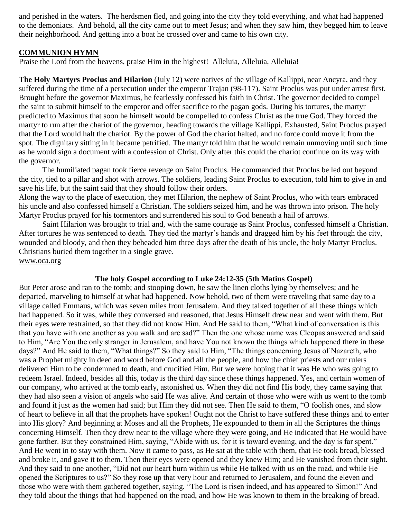and perished in the waters. The herdsmen fled, and going into the city they told everything, and what had happened to the demoniacs. And behold, all the city came out to meet Jesus; and when they saw him, they begged him to leave their neighborhood. And getting into a boat he crossed over and came to his own city.

### **COMMUNION HYMN**

Praise the Lord from the heavens, praise Him in the highest! Alleluia, Alleluia, Alleluia!

**The Holy Martyrs Proclus and Hilarion** (July 12) were natives of the village of Kallippi, near Ancyra, and they suffered during the time of a persecution under the emperor Trajan (98-117). Saint Proclus was put under arrest first. Brought before the governor Maximus, he fearlessly confessed his faith in Christ. The governor decided to compel the saint to submit himself to the emperor and offer sacrifice to the pagan gods. During his tortures, the martyr predicted to Maximus that soon he himself would be compelled to confess Christ as the true God. They forced the martyr to run after the chariot of the governor, heading towards the village Kallippi. Exhausted, Saint Proclus prayed that the Lord would halt the chariot. By the power of God the chariot halted, and no force could move it from the spot. The dignitary sitting in it became petrified. The martyr told him that he would remain unmoving until such time as he would sign a document with a confession of Christ. Only after this could the chariot continue on its way with the governor.

The humiliated pagan took fierce revenge on Saint Proclus. He commanded that Proclus be led out beyond the city, tied to a pillar and shot with arrows. The soldiers, leading Saint Proclus to execution, told him to give in and save his life, but the saint said that they should follow their orders.

Along the way to the place of execution, they met Hilarion, the nephew of Saint Proclus, who with tears embraced his uncle and also confessed himself a Christian. The soldiers seized him, and he was thrown into prison. The holy Martyr Proclus prayed for his tormentors and surrendered his soul to God beneath a hail of arrows.

Saint Hilarion was brought to trial and, with the same courage as Saint Proclus, confessed himself a Christian. After tortures he was sentenced to death. They tied the martyr's hands and dragged him by his feet through the city, wounded and bloody, and then they beheaded him three days after the death of his uncle, the holy Martyr Proclus. Christians buried them together in a single grave. [www.oca.org](http://www.oca.org/)

#### **The holy Gospel according to Luke 24:12-35 (5th Matins Gospel)**

But Peter arose and ran to the tomb; and stooping down, he saw the linen cloths lying by themselves; and he departed, marveling to himself at what had happened. Now behold, two of them were traveling that same day to a village called Emmaus, which was seven miles from Jerusalem. And they talked together of all these things which had happened. So it was, while they conversed and reasoned, that Jesus Himself drew near and went with them. But their eyes were restrained, so that they did not know Him. And He said to them, "What kind of conversation is this that you have with one another as you walk and are sad?" Then the one whose name was Cleopas answered and said to Him, "Are You the only stranger in Jerusalem, and have You not known the things which happened there in these days?" And He said to them, "What things?" So they said to Him, "The things concerning Jesus of Nazareth, who was a Prophet mighty in deed and word before God and all the people, and how the chief priests and our rulers delivered Him to be condemned to death, and crucified Him. But we were hoping that it was He who was going to redeem Israel. Indeed, besides all this, today is the third day since these things happened. Yes, and certain women of our company, who arrived at the tomb early, astonished us. When they did not find His body, they came saying that they had also seen a vision of angels who said He was alive. And certain of those who were with us went to the tomb and found it just as the women had said; but Him they did not see. Then He said to them, "O foolish ones, and slow of heart to believe in all that the prophets have spoken! Ought not the Christ to have suffered these things and to enter into His glory? And beginning at Moses and all the Prophets, He expounded to them in all the Scriptures the things concerning Himself. Then they drew near to the village where they were going, and He indicated that He would have gone farther. But they constrained Him, saying, "Abide with us, for it is toward evening, and the day is far spent." And He went in to stay with them. Now it came to pass, as He sat at the table with them, that He took bread, blessed and broke it, and gave it to them. Then their eyes were opened and they knew Him; and He vanished from their sight. And they said to one another, "Did not our heart burn within us while He talked with us on the road, and while He opened the Scriptures to us?" So they rose up that very hour and returned to Jerusalem, and found the eleven and those who were with them gathered together, saying, "The Lord is risen indeed, and has appeared to Simon!" And they told about the things that had happened on the road, and how He was known to them in the breaking of bread.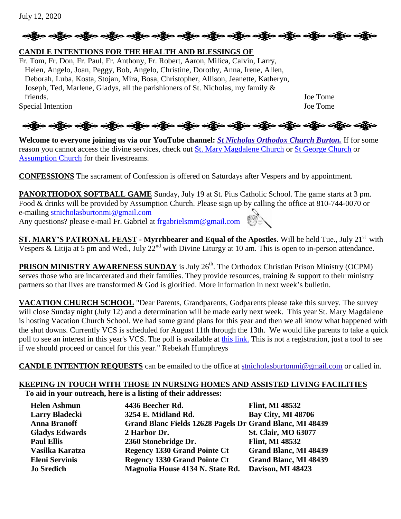```
July 12, 2020
```
# ဆို့ပြီးဝ သို့ဖြင့် ဝတ္ထိုက သို့ဖြင့် ဝတ္ထိုက သို့ဖြင့် ဝတ္ထိုက သို့ဖြင့် ဝတ္ထိုက သို့ဖြင့် ဝတ္ထိုက သို့ဖြင့်

# **CANDLE INTENTIONS FOR THE HEALTH AND BLESSINGS OF**

Fr. Tom, Fr. Don, Fr. Paul, Fr. Anthony, Fr. Robert, Aaron, Milica, Calvin, Larry, Helen, Angelo, Joan, Peggy, Bob, Angelo, Christine, Dorothy, Anna, Irene, Allen, Deborah, Luba, Kosta, Stojan, Mira, Bosa, Christopher, Allison, Jeanette, Katheryn, Joseph, Ted, Marlene, Gladys, all the parishioners of St. Nicholas, my family & friends. Joe Tome Special Intention Joe Tome

# ઓફ્રેન્ડ ઓફ્રેન્ડ ઓફ્રેન્ડ એફ્રેન્ડ ઓફ્રેન્ડ ઓફ્રેન્ડ ઓફ્રેન્ડ ઓફ્રેન્ડ ઓફ્રિન્ડ ઓફ્રિન્ડ ઓફ્રિન્ડ ઓફ્રિન્ડ ઓફ

**Welcome to everyone joining us via our YouTube channel:** *[St Nicholas Orthodox Church Burton.](https://www.youtube.com/channel/UC59tV-Re443z-GCoETAUvfA)* If for some reason you cannot access the divine services, check out [St. Mary Magdalene Church](https://www.youtube.com/channel/UClHAqZrWkXdYELujbbIslHg) or [St George Church](https://www.youtube.com/channel/UCpLWfxMIJK4uQOV41ekE6Wg/videos?view=2&flow=grid) or [Assumption Church](https://www.facebook.com/AssumptionGrandBlanc/) for their livestreams.

**CONFESSIONS** The sacrament of Confession is offered on Saturdays after Vespers and by appointment.

**PANORTHODOX SOFTBALL GAME** Sunday, July 19 at St. Pius Catholic School. The game starts at 3 pm. Food & drinks will be provided by Assumption Church. Please sign up by calling the office at 810-744-0070 or e-mailing [stnicholasburtonmi@gmail.com](mailto:stnicholasburtonmi@gmail.com) Any questions? please e-mail Fr. Gabriel at [frgabrielsmm@gmail.com](mailto:frgabrielsmm@gmail.com)

**ST. MARY'S PATRONAL FEAST - Myrrhbearer and Equal of the Apostles**. Will be held Tue., July 21<sup>st</sup> with Vespers & Litija at 5 pm and Wed., July  $22^{nd}$  with Divine Liturgy at 10 am. This is open to in-person attendance.

**PRISON MINISTRY AWARENESS SUNDAY** is July 26<sup>th</sup>. The Orthodox Christian Prison Ministry (OCPM) serves those who are incarcerated and their families. They provide resources, training & support to their ministry partners so that lives are transformed & God is glorified. More information in next week's bulletin.

**VACATION CHURCH SCHOOL** "Dear Parents, Grandparents, Godparents please take this survey. The survey will close Sunday night (July 12) and a determination will be made early next week. This year St. Mary Magdalene is hosting Vacation Church School. We had some grand plans for this year and then we all know what happened with the shut downs. Currently VCS is scheduled for August 11th through the 13th. We would like parents to take a quick poll to see an interest in this year's VCS. The poll is available at [this link.](https://docs.google.com/forms/d/e/1FAIpQLSeiz8Jv-Gxs99_Tlg5NvD-_VdYWCA83SaVtLNqJiWGF5hsWFw/viewform?fbclid=IwAR0jBQhDWUUPwxX0Sjqbjg8cXtgeAAU6taLWhuYD2QrxvF8F1tJ2mUCS1W8) This is not a registration, just a tool to see if we should proceed or cancel for this year." Rebekah Humphreys

**CANDLE INTENTION REQUESTS** can be emailed to the office at [stnicholasburtonmi@gmail.com](mailto:stnicholasburtonmi@gmail.com) or called in.

### **KEEPING IN TOUCH WITH THOSE IN NURSING HOMES AND ASSISTED LIVING FACILITIES To aid in your outreach, here is a listing of their addresses:**

| <b>Helen Ashmun</b>   | 4436 Beecher Rd.                                         | <b>Flint, MI 48532</b>       |
|-----------------------|----------------------------------------------------------|------------------------------|
| <b>Larry Bladecki</b> | 3254 E. Midland Rd.                                      | <b>Bay City, MI 48706</b>    |
| <b>Anna Branoff</b>   | Grand Blanc Fields 12628 Pagels Dr Grand Blanc, MI 48439 |                              |
| <b>Gladys Edwards</b> | 2 Harbor Dr.                                             | <b>St. Clair, MO 63077</b>   |
| <b>Paul Ellis</b>     | 2360 Stonebridge Dr.                                     | <b>Flint, MI 48532</b>       |
| Vasilka Karatza       | <b>Regency 1330 Grand Pointe Ct</b>                      | <b>Grand Blanc, MI 48439</b> |
| <b>Eleni Servinis</b> | <b>Regency 1330 Grand Pointe Ct</b>                      | Grand Blanc, MI 48439        |
| <b>Jo Sredich</b>     | Magnolia House 4134 N. State Rd.                         | Davison, MI 48423            |